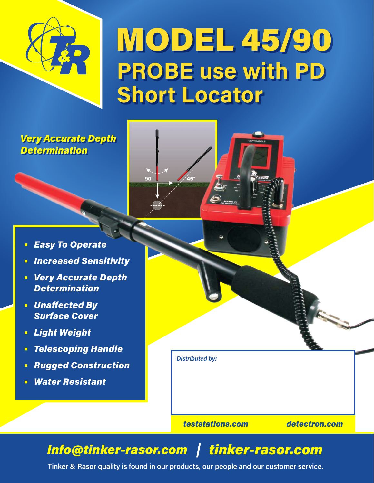

# MODEL 45/90 **PROBE use with PD Short Locator**

## *Very Accurate Depth Determination*

- **•** *Easy To Operate*
- **•** *Increased Sensitivity*
- **•** *Very Accurate Depth Determination*
- **•** *Unaffected By Surface Cover*
- **•** *Light Weight*
- **•** *Telescoping Handle*
- **•** *Rugged Construction*
- **•** *Water Resistant*



*teststations.com detectron.com*

## *Info@tinker-rasor.com tinker-rasor.com*

 $90^\circ$ 

**Tinker & Rasor quality is found in our products, our people and our customer service.**